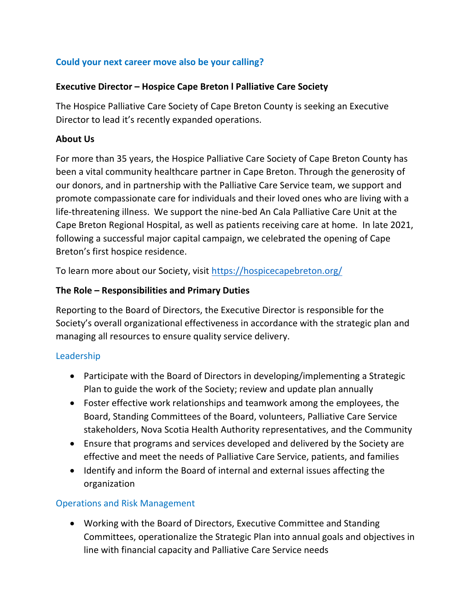## **Could your next career move also be your calling?**

#### **Executive Director – Hospice Cape Breton l Palliative Care Society**

The Hospice Palliative Care Society of Cape Breton County is seeking an Executive Director to lead it's recently expanded operations.

#### **About Us**

For more than 35 years, the Hospice Palliative Care Society of Cape Breton County has been a vital community healthcare partner in Cape Breton. Through the generosity of our donors, and in partnership with the Palliative Care Service team, we support and promote compassionate care for individuals and their loved ones who are living with a life-threatening illness. We support the nine-bed An Cala Palliative Care Unit at the Cape Breton Regional Hospital, as well as patients receiving care at home. In late 2021, following a successful major capital campaign, we celebrated the opening of Cape Breton's first hospice residence.

To learn more about our Society, visit<https://hospicecapebreton.org/>

### **The Role – Responsibilities and Primary Duties**

Reporting to the Board of Directors, the Executive Director is responsible for the Society's overall organizational effectiveness in accordance with the strategic plan and managing all resources to ensure quality service delivery.

### Leadership

- Participate with the Board of Directors in developing/implementing a Strategic Plan to guide the work of the Society; review and update plan annually
- Foster effective work relationships and teamwork among the employees, the Board, Standing Committees of the Board, volunteers, Palliative Care Service stakeholders, Nova Scotia Health Authority representatives, and the Community
- Ensure that programs and services developed and delivered by the Society are effective and meet the needs of Palliative Care Service, patients, and families
- Identify and inform the Board of internal and external issues affecting the organization

### Operations and Risk Management

• Working with the Board of Directors, Executive Committee and Standing Committees, operationalize the Strategic Plan into annual goals and objectives in line with financial capacity and Palliative Care Service needs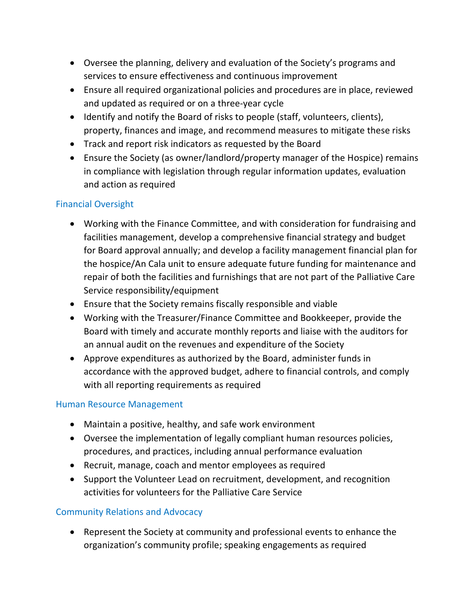- Oversee the planning, delivery and evaluation of the Society's programs and services to ensure effectiveness and continuous improvement
- Ensure all required organizational policies and procedures are in place, reviewed and updated as required or on a three-year cycle
- Identify and notify the Board of risks to people (staff, volunteers, clients), property, finances and image, and recommend measures to mitigate these risks
- Track and report risk indicators as requested by the Board
- Ensure the Society (as owner/landlord/property manager of the Hospice) remains in compliance with legislation through regular information updates, evaluation and action as required

# Financial Oversight

- Working with the Finance Committee, and with consideration for fundraising and facilities management, develop a comprehensive financial strategy and budget for Board approval annually; and develop a facility management financial plan for the hospice/An Cala unit to ensure adequate future funding for maintenance and repair of both the facilities and furnishings that are not part of the Palliative Care Service responsibility/equipment
- Ensure that the Society remains fiscally responsible and viable
- Working with the Treasurer/Finance Committee and Bookkeeper, provide the Board with timely and accurate monthly reports and liaise with the auditors for an annual audit on the revenues and expenditure of the Society
- Approve expenditures as authorized by the Board, administer funds in accordance with the approved budget, adhere to financial controls, and comply with all reporting requirements as required

## Human Resource Management

- Maintain a positive, healthy, and safe work environment
- Oversee the implementation of legally compliant human resources policies, procedures, and practices, including annual performance evaluation
- Recruit, manage, coach and mentor employees as required
- Support the Volunteer Lead on recruitment, development, and recognition activities for volunteers for the Palliative Care Service

## Community Relations and Advocacy

• Represent the Society at community and professional events to enhance the organization's community profile; speaking engagements as required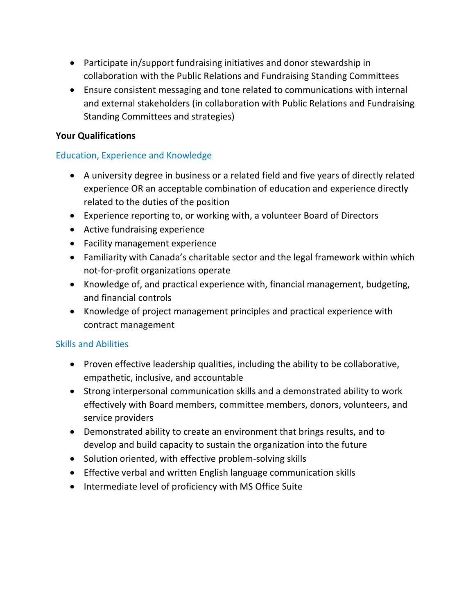- Participate in/support fundraising initiatives and donor stewardship in collaboration with the Public Relations and Fundraising Standing Committees
- Ensure consistent messaging and tone related to communications with internal and external stakeholders (in collaboration with Public Relations and Fundraising Standing Committees and strategies)

### **Your Qualifications**

## Education, Experience and Knowledge

- A university degree in business or a related field and five years of directly related experience OR an acceptable combination of education and experience directly related to the duties of the position
- Experience reporting to, or working with, a volunteer Board of Directors
- Active fundraising experience
- Facility management experience
- Familiarity with Canada's charitable sector and the legal framework within which not-for-profit organizations operate
- Knowledge of, and practical experience with, financial management, budgeting, and financial controls
- Knowledge of project management principles and practical experience with contract management

### Skills and Abilities

- Proven effective leadership qualities, including the ability to be collaborative, empathetic, inclusive, and accountable
- Strong interpersonal communication skills and a demonstrated ability to work effectively with Board members, committee members, donors, volunteers, and service providers
- Demonstrated ability to create an environment that brings results, and to develop and build capacity to sustain the organization into the future
- Solution oriented, with effective problem-solving skills
- Effective verbal and written English language communication skills
- Intermediate level of proficiency with MS Office Suite